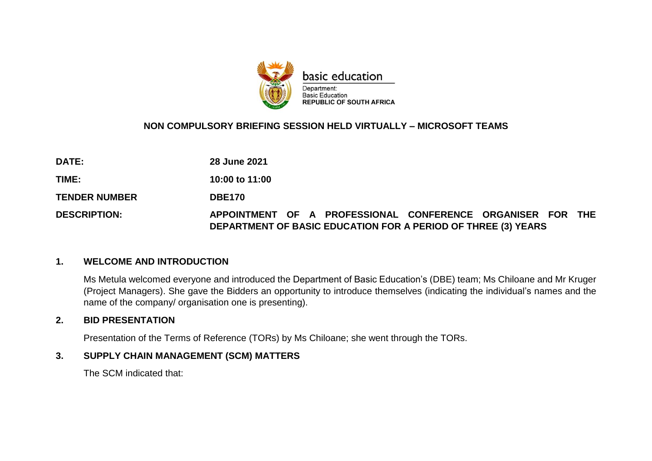

# **NON COMPULSORY BRIEFING SESSION HELD VIRTUALLY – MICROSOFT TEAMS**

**DATE: 28 June 2021**

**TIME: 10:00 to 11:00**

**TENDER NUMBER DBE170** 

**DESCRIPTION: APPOINTMENT OF A PROFESSIONAL CONFERENCE ORGANISER FOR THE DEPARTMENT OF BASIC EDUCATION FOR A PERIOD OF THREE (3) YEARS**

#### **1. WELCOME AND INTRODUCTION**

Ms Metula welcomed everyone and introduced the Department of Basic Education's (DBE) team; Ms Chiloane and Mr Kruger (Project Managers). She gave the Bidders an opportunity to introduce themselves (indicating the individual's names and the name of the company/ organisation one is presenting).

### **2. BID PRESENTATION**

Presentation of the Terms of Reference (TORs) by Ms Chiloane; she went through the TORs.

### **3. SUPPLY CHAIN MANAGEMENT (SCM) MATTERS**

The SCM indicated that: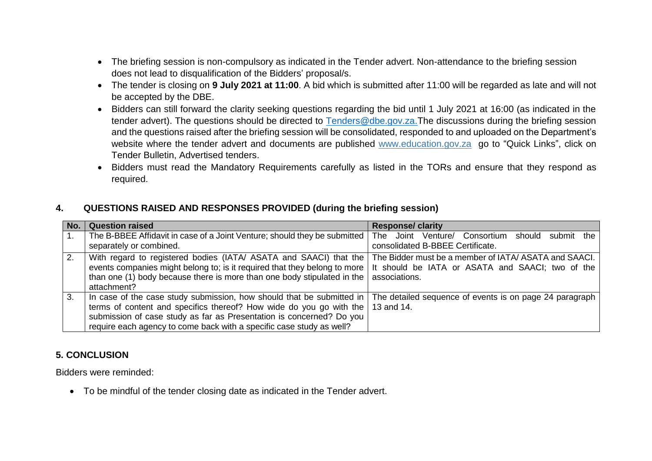- The briefing session is non-compulsory as indicated in the Tender advert. Non-attendance to the briefing session does not lead to disqualification of the Bidders' proposal/s.
- The tender is closing on **9 July 2021 at 11:00**. A bid which is submitted after 11:00 will be regarded as late and will not be accepted by the DBE.
- Bidders can still forward the clarity seeking questions regarding the bid until 1 July 2021 at 16:00 (as indicated in the tender advert). The questions should be directed to [Tenders@dbe.gov.za.](mailto:Tenders@dbe.gov.za)The discussions during the briefing session and the questions raised after the briefing session will be consolidated, responded to and uploaded on the Department's website where the tender advert and documents are published [www.education.gov.za](http://www.education.gov.za/) go to "Quick Links", click on Tender Bulletin, Advertised tenders.
- Bidders must read the Mandatory Requirements carefully as listed in the TORs and ensure that they respond as required.

### **4. QUESTIONS RAISED AND RESPONSES PROVIDED (during the briefing session)**

| No. | <b>Question raised</b>                                                                                                                                                                                                                                                                       | <b>Response/ clarity</b>                                                                                                   |
|-----|----------------------------------------------------------------------------------------------------------------------------------------------------------------------------------------------------------------------------------------------------------------------------------------------|----------------------------------------------------------------------------------------------------------------------------|
| 1.  | The B-BBEE Affidavit in case of a Joint Venture; should they be submitted   The<br>separately or combined.                                                                                                                                                                                   | Joint Venture/ Consortium should submit the<br>consolidated B-BBEE Certificate.                                            |
| 2.  | With regard to registered bodies (IATA/ ASATA and SAACI) that the<br>events companies might belong to; is it required that they belong to more<br>than one (1) body because there is more than one body stipulated in the<br>attachment?                                                     | The Bidder must be a member of IATA/ ASATA and SAACI.<br>It should be IATA or ASATA and SAACI; two of the<br>associations. |
| 3.  | In case of the case study submission, how should that be submitted in<br>terms of content and specifics thereof? How wide do you go with the<br>submission of case study as far as Presentation is concerned? Do you<br>require each agency to come back with a specific case study as well? | The detailed sequence of events is on page 24 paragraph<br>13 and 14.                                                      |

# **5. CONCLUSION**

Bidders were reminded:

To be mindful of the tender closing date as indicated in the Tender advert.